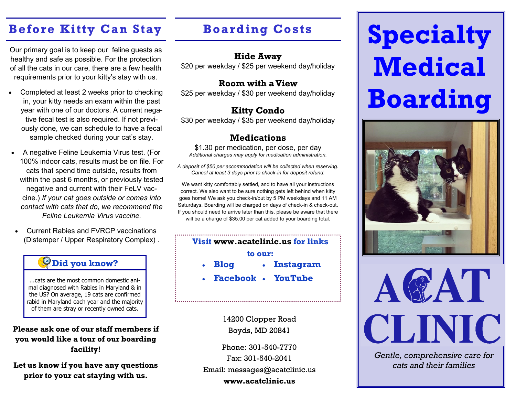# **Before Kitty Can Stay**

Our primary goal is to keep our feline guests as healthy and safe as possible. For the protection of all the cats in our care, there are a few health requirements prior to your kitty's stay with us.

- Completed at least 2 weeks prior to checking in, your kitty needs an exam within the past year with one of our doctors. A current negative fecal test is also required. If not previously done, we can schedule to have a fecal sample checked during your cat's stay.
- A negative Feline Leukemia Virus test. (For 100% indoor cats, results must be on file. For cats that spend time outside, results from within the past 6 months, or previously tested negative and current with their FeLV vaccine.) *If your cat goes outside or comes into contact with cats that do, we recommend the Feline Leukemia Virus vaccine.*
- Current Rabies and FVRCP vaccinations (Distemper / Upper Respiratory Complex) .

## **Did you know?**

...cats are the most common domestic animal diagnosed with Rabies in Maryland & in the US? On average, 19 cats are confirmed rabid in Maryland each year and the majority of them are stray or recently owned cats.

### **Please ask one of our staff members if you would like a tour of our boarding facility!**

**Let us know if you have any questions prior to your cat staying with us.**

# **Boarding Costs**

### **Hide Away**

\$20 per weekday / \$25 per weekend day/holiday

### **Room with a View**

\$25 per weekday / \$30 per weekend day/holiday

# **Kitty Condo**

\$30 per weekday / \$35 per weekend day/holiday

### **Medications**

\$1.30 per medication, per dose, per day *Additional charges may apply for medication administration.*

*A deposit of \$50 per accommodation will be collected when reserving. Cancel at least 3 days prior to check-in for deposit refund.*

We want kitty comfortably settled, and to have all your instructions correct. We also want to be sure nothing gets left behind when kitty goes home! We ask you check-in/out by 5 PM weekdays and 11 AM Saturdays. Boarding will be charged on days of check-in & check-out. If you should need to arrive later than this, please be aware that there will be a charge of \$35.00 per cat added to your boarding total.

### **Visit www.acatclinic.us for links to our: Blog Instagram**

**Facebook YouTube**

14200 Clopper Road Boyds, MD 20841

Phone: 301-540-7770 Fax: 301-540-2041 Email: messages@acatclinic.us **www.acatclinic.us**

# **Specialty Medical Boarding**





*Gentle, comprehensive care for cats and their families*